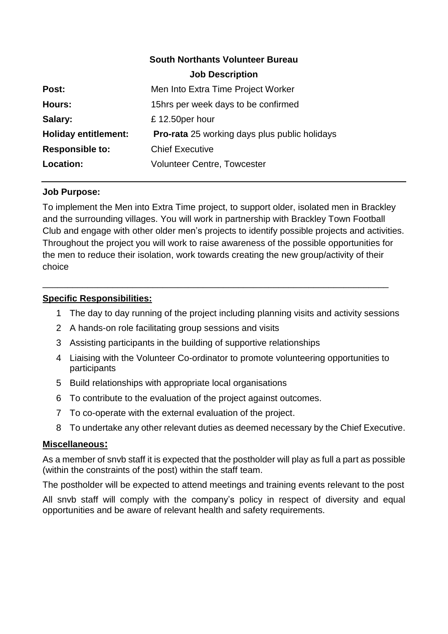# **South Northants Volunteer Bureau Job Description Post:** Men Into Extra Time Project Worker **Hours:** 15hrs per week days to be confirmed **Salary:**  $£ 12.50per hour$ **Holiday entitlement: Pro-rata** 25 working days plus public holidays **Responsible to:** Chief Executive **Location: Volunteer Centre, Towcester**

## **Job Purpose:**

To implement the Men into Extra Time project, to support older, isolated men in Brackley and the surrounding villages. You will work in partnership with Brackley Town Football Club and engage with other older men's projects to identify possible projects and activities. Throughout the project you will work to raise awareness of the possible opportunities for the men to reduce their isolation, work towards creating the new group/activity of their choice

\_\_\_\_\_\_\_\_\_\_\_\_\_\_\_\_\_\_\_\_\_\_\_\_\_\_\_\_\_\_\_\_\_\_\_\_\_\_\_\_\_\_\_\_\_\_\_\_\_\_\_\_\_\_\_\_\_\_\_\_\_\_\_\_\_\_\_\_\_

## **Specific Responsibilities:**

- 1 The day to day running of the project including planning visits and activity sessions
- 2 A hands-on role facilitating group sessions and visits
- 3 Assisting participants in the building of supportive relationships
- 4 Liaising with the Volunteer Co-ordinator to promote volunteering opportunities to participants
- 5 Build relationships with appropriate local organisations
- 6 To contribute to the evaluation of the project against outcomes.
- 7 To co-operate with the external evaluation of the project.
- 8 To undertake any other relevant duties as deemed necessary by the Chief Executive.

#### **Miscellaneous:**

As a member of snvb staff it is expected that the postholder will play as full a part as possible (within the constraints of the post) within the staff team.

The postholder will be expected to attend meetings and training events relevant to the post

All snvb staff will comply with the company's policy in respect of diversity and equal opportunities and be aware of relevant health and safety requirements.